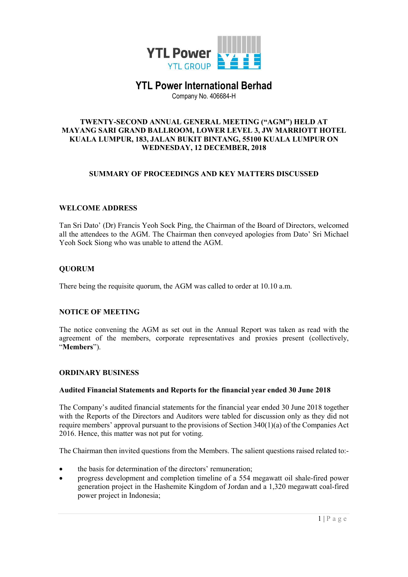

# YTL Power International Berhad

Company No. 406684-H

#### TWENTY-SECOND ANNUAL GENERAL MEETING ("AGM") HELD AT MAYANG SARI GRAND BALLROOM, LOWER LEVEL 3, JW MARRIOTT HOTEL KUALA LUMPUR, 183, JALAN BUKIT BINTANG, 55100 KUALA LUMPUR ON WEDNESDAY, 12 DECEMBER, 2018

### SUMMARY OF PROCEEDINGS AND KEY MATTERS DISCUSSED

### WELCOME ADDRESS

Tan Sri Dato' (Dr) Francis Yeoh Sock Ping, the Chairman of the Board of Directors, welcomed all the attendees to the AGM. The Chairman then conveyed apologies from Dato' Sri Michael Yeoh Sock Siong who was unable to attend the AGM.

### **OUORUM**

There being the requisite quorum, the AGM was called to order at 10.10 a.m.

### NOTICE OF MEETING

The notice convening the AGM as set out in the Annual Report was taken as read with the agreement of the members, corporate representatives and proxies present (collectively, "Members").

### ORDINARY BUSINESS

### Audited Financial Statements and Reports for the financial year ended 30 June 2018

The Company's audited financial statements for the financial year ended 30 June 2018 together with the Reports of the Directors and Auditors were tabled for discussion only as they did not require members' approval pursuant to the provisions of Section 340(1)(a) of the Companies Act 2016. Hence, this matter was not put for voting.

The Chairman then invited questions from the Members. The salient questions raised related to:-

- the basis for determination of the directors' remuneration;
- progress development and completion timeline of a 554 megawatt oil shale-fired power generation project in the Hashemite Kingdom of Jordan and a 1,320 megawatt coal-fired power project in Indonesia;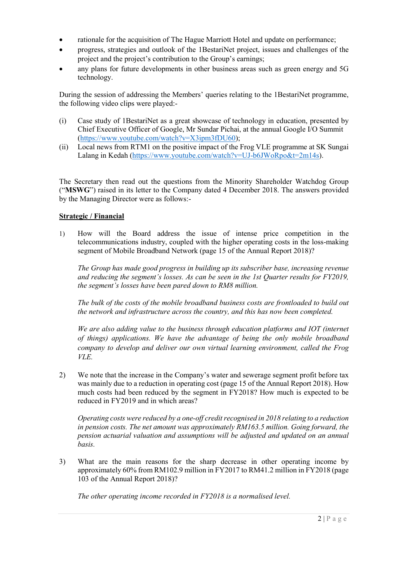- rationale for the acquisition of The Hague Marriott Hotel and update on performance;
- progress, strategies and outlook of the 1BestariNet project, issues and challenges of the project and the project's contribution to the Group's earnings;
- any plans for future developments in other business areas such as green energy and 5G technology.

During the session of addressing the Members' queries relating to the 1BestariNet programme, the following video clips were played:-

- (i) Case study of 1BestariNet as a great showcase of technology in education, presented by Chief Executive Officer of Google, Mr Sundar Pichai, at the annual Google I/O Summit (https://www.youtube.com/watch?v=X3ipm3fDU60);
- (ii) Local news from RTM1 on the positive impact of the Frog VLE programme at SK Sungai Lalang in Kedah (https://www.youtube.com/watch?v=UJ-b6JWoRpo&t=2m14s).

The Secretary then read out the questions from the Minority Shareholder Watchdog Group ("MSWG") raised in its letter to the Company dated 4 December 2018. The answers provided by the Managing Director were as follows:-

### Strategic / Financial

1) How will the Board address the issue of intense price competition in the telecommunications industry, coupled with the higher operating costs in the loss-making segment of Mobile Broadband Network (page 15 of the Annual Report 2018)?

The Group has made good progress in building up its subscriber base, increasing revenue and reducing the segment's losses. As can be seen in the 1st Quarter results for FY2019, the segment's losses have been pared down to RM8 million.

 The bulk of the costs of the mobile broadband business costs are frontloaded to build out the network and infrastructure across the country, and this has now been completed.

 We are also adding value to the business through education platforms and IOT (internet of things) applications. We have the advantage of being the only mobile broadband company to develop and deliver our own virtual learning environment, called the Frog VLE.

2) We note that the increase in the Company's water and sewerage segment profit before tax was mainly due to a reduction in operating cost (page 15 of the Annual Report 2018). How much costs had been reduced by the segment in FY2018? How much is expected to be reduced in FY2019 and in which areas?

Operating costs were reduced by a one-off credit recognised in 2018 relating to a reduction in pension costs. The net amount was approximately RM163.5 million. Going forward, the pension actuarial valuation and assumptions will be adjusted and updated on an annual basis.

3) What are the main reasons for the sharp decrease in other operating income by approximately 60% from RM102.9 million in FY2017 to RM41.2 million in FY2018 (page 103 of the Annual Report 2018)?

The other operating income recorded in FY2018 is a normalised level.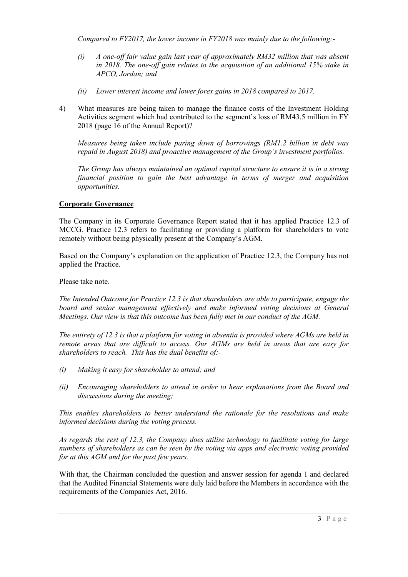Compared to FY2017, the lower income in FY2018 was mainly due to the following:-

- (i) A one-off fair value gain last year of approximately RM32 million that was absent in 2018. The one-off gain relates to the acquisition of an additional 15% stake in APCO, Jordan; and
- (ii) Lower interest income and lower forex gains in 2018 compared to 2017.
- 4) What measures are being taken to manage the finance costs of the Investment Holding Activities segment which had contributed to the segment's loss of RM43.5 million in FY 2018 (page 16 of the Annual Report)?

 Measures being taken include paring down of borrowings (RM1.2 billion in debt was repaid in August 2018) and proactive management of the Group's investment portfolios.

 The Group has always maintained an optimal capital structure to ensure it is in a strong financial position to gain the best advantage in terms of merger and acquisition opportunities.

### Corporate Governance

The Company in its Corporate Governance Report stated that it has applied Practice 12.3 of MCCG. Practice 12.3 refers to facilitating or providing a platform for shareholders to vote remotely without being physically present at the Company's AGM.

Based on the Company's explanation on the application of Practice 12.3, the Company has not applied the Practice.

Please take note.

The Intended Outcome for Practice 12.3 is that shareholders are able to participate, engage the board and senior management effectively and make informed voting decisions at General Meetings. Our view is that this outcome has been fully met in our conduct of the AGM.

The entirety of 12.3 is that a platform for voting in absentia is provided where AGMs are held in remote areas that are difficult to access. Our AGMs are held in areas that are easy for shareholders to reach. This has the dual benefits of:-

- (i) Making it easy for shareholder to attend; and
- (ii) Encouraging shareholders to attend in order to hear explanations from the Board and discussions during the meeting;

This enables shareholders to better understand the rationale for the resolutions and make informed decisions during the voting process.

As regards the rest of 12.3, the Company does utilise technology to facilitate voting for large numbers of shareholders as can be seen by the voting via apps and electronic voting provided for at this AGM and for the past few years.

With that, the Chairman concluded the question and answer session for agenda 1 and declared that the Audited Financial Statements were duly laid before the Members in accordance with the requirements of the Companies Act, 2016.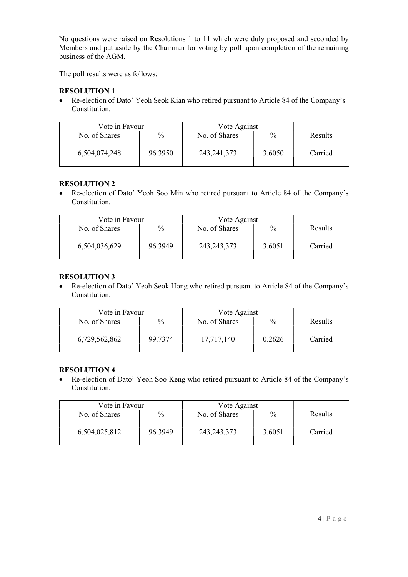No questions were raised on Resolutions 1 to 11 which were duly proposed and seconded by Members and put aside by the Chairman for voting by poll upon completion of the remaining business of the AGM.

The poll results were as follows:

# RESOLUTION 1

 Re-election of Dato' Yeoh Seok Kian who retired pursuant to Article 84 of the Company's Constitution.

| Vote in Favour |               | Vote Against  |               |                |
|----------------|---------------|---------------|---------------|----------------|
| No. of Shares  | $\frac{0}{0}$ | No. of Shares | $\frac{0}{0}$ | <b>Results</b> |
| 6,504,074,248  | 96.3950       | 243, 241, 373 | 3.6050        | Carried        |

# RESOLUTION 2

 Re-election of Dato' Yeoh Soo Min who retired pursuant to Article 84 of the Company's Constitution.

| Vote in Favour |               | Vote Against  |               |                |
|----------------|---------------|---------------|---------------|----------------|
| No. of Shares  | $\frac{0}{0}$ | No. of Shares | $\frac{0}{0}$ | <b>Results</b> |
| 6,504,036,629  | 96.3949       | 243, 243, 373 | 3.6051        | Carried        |

# RESOLUTION 3

 Re-election of Dato' Yeoh Seok Hong who retired pursuant to Article 84 of the Company's Constitution.

| Vote in Favour |         | Vote Against  |               |                |
|----------------|---------|---------------|---------------|----------------|
| No. of Shares  | $\%$    | No. of Shares | $\frac{0}{0}$ | <b>Results</b> |
| 6,729,562,862  | 99.7374 | 17,717,140    | 0.2626        | Carried        |

# RESOLUTION 4

 Re-election of Dato' Yeoh Soo Keng who retired pursuant to Article 84 of the Company's Constitution.

|               | Vote in Favour<br>Vote Against |               |               |                |
|---------------|--------------------------------|---------------|---------------|----------------|
| No. of Shares | $\%$                           | No. of Shares | $\frac{0}{0}$ | <b>Results</b> |
| 6,504,025,812 | 96.3949                        | 243, 243, 373 | 3.6051        | Carried        |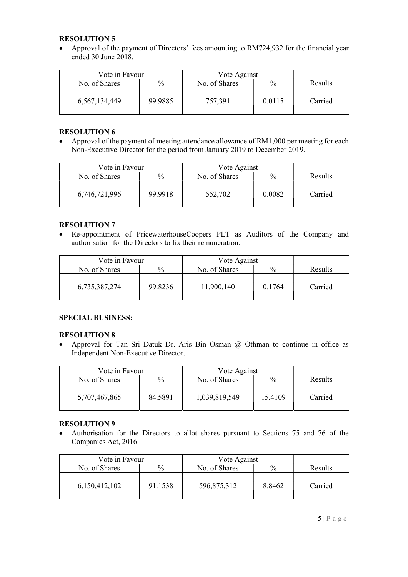#### RESOLUTION 5

 Approval of the payment of Directors' fees amounting to RM724,932 for the financial year ended 30 June 2018.

| Vote in Favour   |               | Vote Against  |               |                |
|------------------|---------------|---------------|---------------|----------------|
| No. of Shares    | $\frac{0}{0}$ | No. of Shares | $\frac{0}{0}$ | <b>Results</b> |
| 6, 567, 134, 449 | 99.9885       | 757,391       | 0.0115        | Carried        |

## RESOLUTION 6

 Approval of the payment of meeting attendance allowance of RM1,000 per meeting for each Non-Executive Director for the period from January 2019 to December 2019.

| Vote in Favour |         | Vote Against  |               |                |
|----------------|---------|---------------|---------------|----------------|
| No. of Shares  | $\%$    | No. of Shares | $\frac{0}{0}$ | <b>Results</b> |
| 6,746,721,996  | 99.9918 | 552,702       | 0.0082        | Carried        |

### RESOLUTION 7

 Re-appointment of PricewaterhouseCoopers PLT as Auditors of the Company and authorisation for the Directors to fix their remuneration.

|               | Vote in Favour |               | Vote Against  |                |
|---------------|----------------|---------------|---------------|----------------|
| No. of Shares | $\frac{0}{0}$  | No. of Shares | $\frac{0}{0}$ | <b>Results</b> |
| 6,735,387,274 | 99.8236        | 11,900,140    | 0.1764        | Carried        |

### SPECIAL BUSINESS:

### RESOLUTION 8

 Approval for Tan Sri Datuk Dr. Aris Bin Osman @ Othman to continue in office as Independent Non-Executive Director.

| Vote in Favour |               | Vote Against  |               |                |
|----------------|---------------|---------------|---------------|----------------|
| No. of Shares  | $\frac{0}{0}$ | No. of Shares | $\frac{0}{0}$ | <b>Results</b> |
| 5,707,467,865  | 84.5891       | 1,039,819,549 | 15.4109       | Carried        |

### RESOLUTION 9

 Authorisation for the Directors to allot shares pursuant to Sections 75 and 76 of the Companies Act, 2016.

| Vote in Favour |               | Vote Against  |               |                |
|----------------|---------------|---------------|---------------|----------------|
| No. of Shares  | $\frac{0}{0}$ | No. of Shares | $\frac{0}{0}$ | <b>Results</b> |
| 6,150,412,102  | 91.1538       | 596,875,312   | 8.8462        | Carried        |